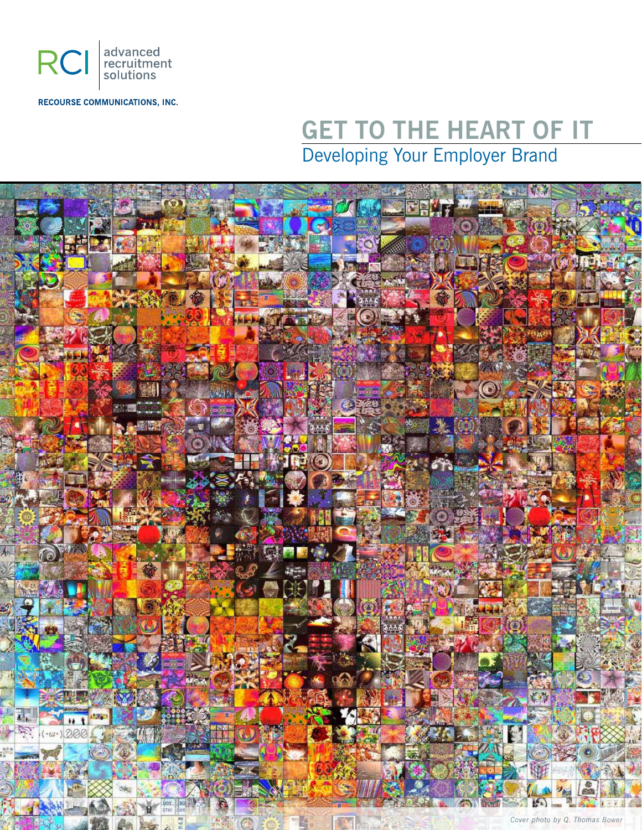

**RECOURSE COMMUNICATIONS, INC.** 

# **GET TO THE HEART OF IT** Developing Your Employer Brand

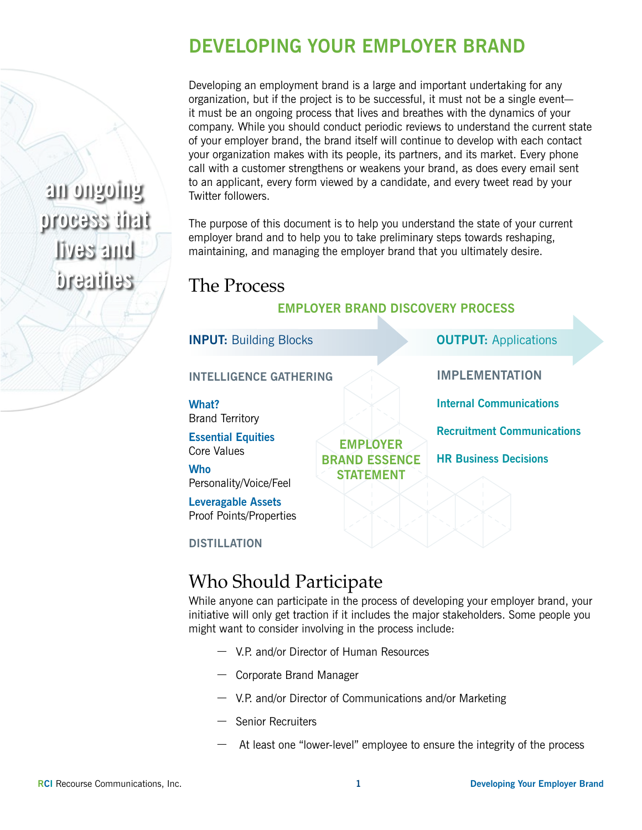### **DEVELOPING YOUR EMPLOYER BRAND**

Developing an employment brand is a large and important undertaking for any organization, but if the project is to be successful, it must not be a single event it must be an ongoing process that lives and breathes with the dynamics of your company. While you should conduct periodic reviews to understand the current state of your employer brand, the brand itself will continue to develop with each contact your organization makes with its people, its partners, and its market. Every phone call with a customer strengthens or weakens your brand, as does every email sent to an applicant, every form viewed by a candidate, and every tweet read by your Twitter followers.

The purpose of this document is to help you understand the state of your current employer brand and to help you to take preliminary steps towards reshaping, maintaining, and managing the employer brand that you ultimately desire.

> **EMPLOYER BRAND ESSENCE STATEMENT**

#### The Process

#### **EMPLOYER BRAND DISCOVERY PROCESS**

**IMPLEMENTATION** 

**Internal Communications**

**HR Business Decisions**

**Recruitment Communications**

**INPUT:** Building Blocks **OUTPUT:** Applications

**INTELLIGENCE GATHERING** 

**What?** Brand Territory

**Essential Equities** Core Values

**Who**

Personality/Voice/Feel

**Leveragable Assets** Proof Points/Properties

**DISTILLATION**

#### Who Should Participate

While anyone can participate in the process of developing your employer brand, your initiative will only get traction if it includes the major stakeholders. Some people you might want to consider involving in the process include:

- V.P. and/or Director of Human Resources
- Corporate Brand Manager
- V.P. and/or Director of Communications and/or Marketing
- Senior Recruiters
- At least one "lower-level" employee to ensure the integrity of the process

**an ongoing process that lives and breathes**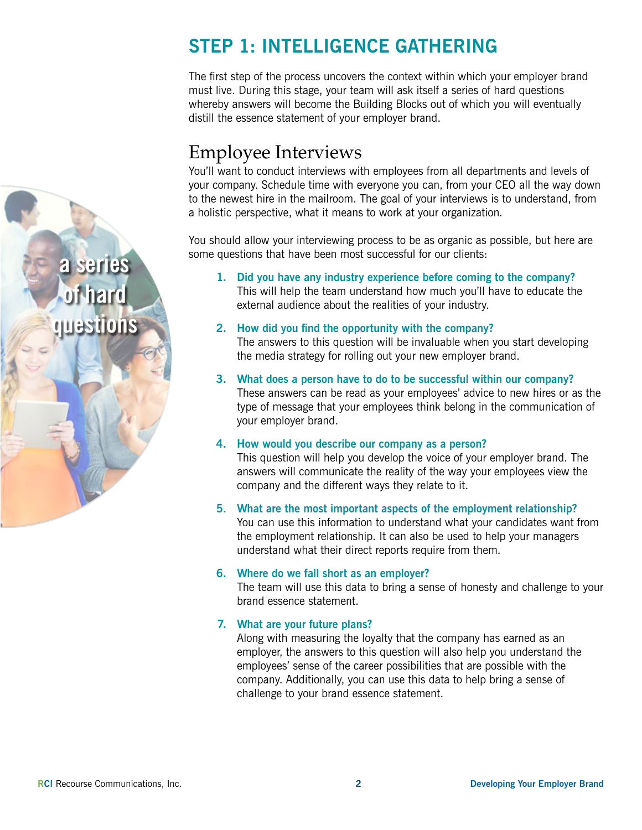## **STEP 1: INTELLIGENCE GATHERING**

The first step of the process uncovers the context within which your employer brand must live. During this stage, your team will ask itself a series of hard questions whereby answers will become the Building Blocks out of which you will eventually distill the essence statement of your employer brand.

## Employee Interviews

You'll want to conduct interviews with employees from all departments and levels of your company. Schedule time with everyone you can, from your CEO all the way down to the newest hire in the mailroom. The goal of your interviews is to understand, from a holistic perspective, what it means to work at your organization.

You should allow your interviewing process to be as organic as possible, but here are some questions that have been most successful for our clients:

- **1. Did you have any industry experience before coming to the company?** This will help the team understand how much you'll have to educate the external audience about the realities of your industry.
- **2. How did you find the opportunity with the company?** The answers to this question will be invaluable when you start developing the media strategy for rolling out your new employer brand.
- **3. What does a person have to do to be successful within our company?** These answers can be read as your employees' advice to new hires or as the type of message that your employees think belong in the communication of your employer brand.
- **4. How would you describe our company as a person?** This question will help you develop the voice of your employer brand. The answers will communicate the reality of the way your employees view the company and the different ways they relate to it.
- **5. What are the most important aspects of the employment relationship?** You can use this information to understand what your candidates want from the employment relationship. It can also be used to help your managers understand what their direct reports require from them.

#### **6. Where do we fall short as an employer?**

The team will use this data to bring a sense of honesty and challenge to your brand essence statement.

#### **7. What are your future plans?**

Along with measuring the loyalty that the company has earned as an employer, the answers to this question will also help you understand the employees' sense of the career possibilities that are possible with the company. Additionally, you can use this data to help bring a sense of challenge to your brand essence statement.

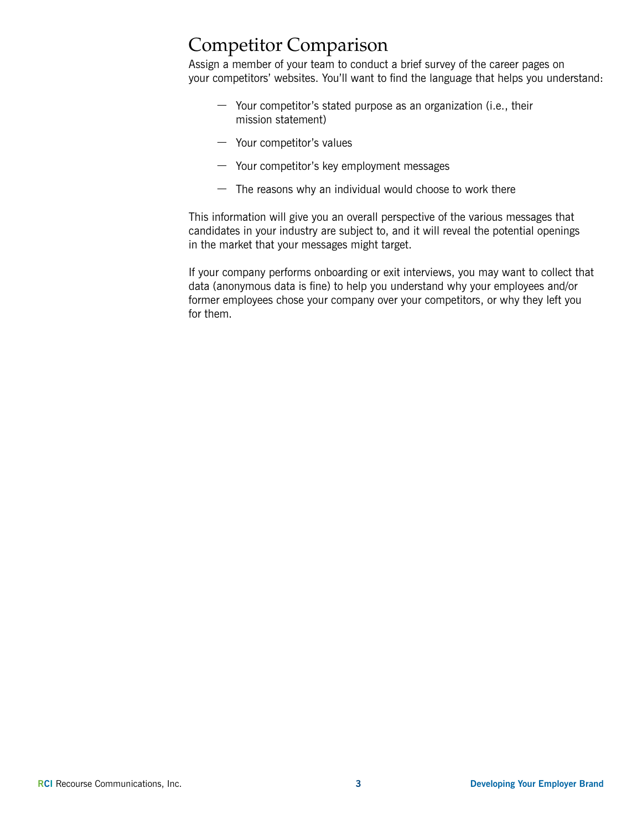#### Competitor Comparison

Assign a member of your team to conduct a brief survey of the career pages on your competitors' websites. You'll want to find the language that helps you understand:

- Your competitor's stated purpose as an organization (i.e., their mission statement)
- Your competitor's values
- Your competitor's key employment messages
- $-$  The reasons why an individual would choose to work there

This information will give you an overall perspective of the various messages that candidates in your industry are subject to, and it will reveal the potential openings in the market that your messages might target.

If your company performs onboarding or exit interviews, you may want to collect that data (anonymous data is fine) to help you understand why your employees and/or former employees chose your company over your competitors, or why they left you for them.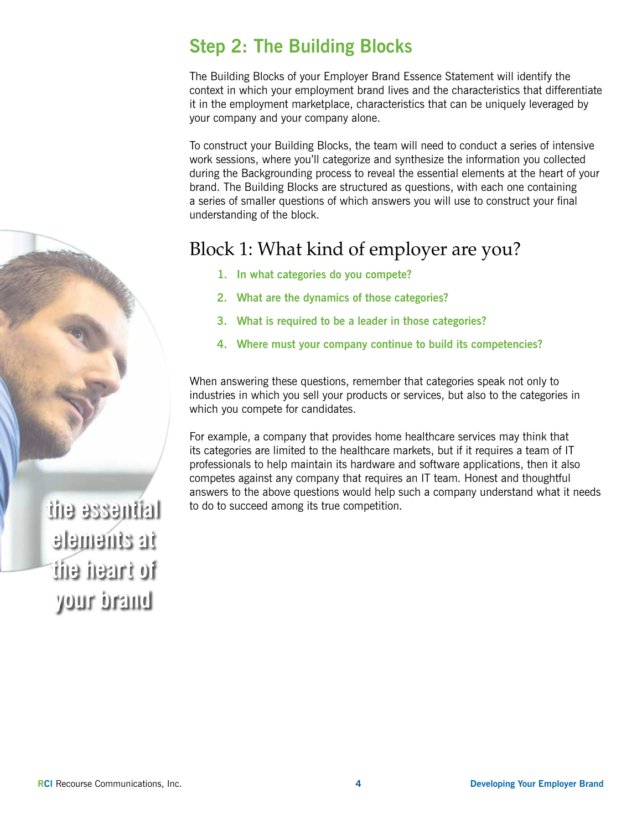## **Step 2: The Building Blocks**

The Building Blocks of your Employer Brand Essence Statement will identify the context in which your employment brand lives and the characteristics that differentiate it in the employment marketplace, characteristics that can be uniquely leveraged by your company and your company alone.

To construct your Building Blocks, the team will need to conduct a series of intensive work sessions, where you'll categorize and synthesize the information you collected during the Backgrounding process to reveal the essential elements at the heart of your brand. The Building Blocks are structured as questions, with each one containing a series of smaller questions of which answers you will use to construct your final understanding of the block.

#### Block 1: What kind of employer are you?

- **1. In what categories do you compete?**
- **2. What are the dynamics of those categories?**
- **3. What is required to be a leader in those categories?**
- **4. Where must your company continue to build its competencies?**

When answering these questions, remember that categories speak not only to industries in which you sell your products or services, but also to the categories in which you compete for candidates.

For example, a company that provides home healthcare services may think that its categories are limited to the healthcare markets, but if it requires a team of IT professionals to help maintain its hardware and software applications, then it also competes against any company that requires an IT team. Honest and thoughtful answers to the above questions would help such a company understand what it needs to do to succeed among its true competition.

**the essential elements at the heart of your brand**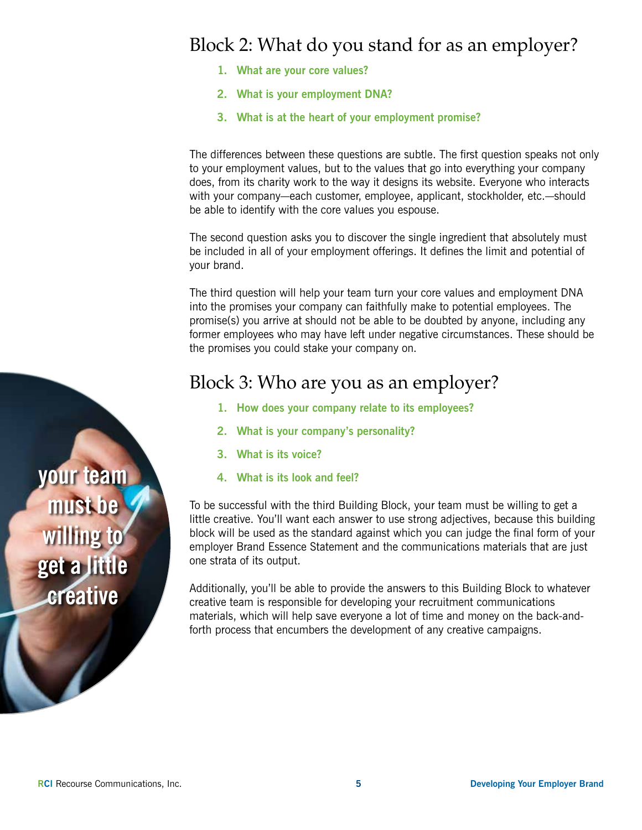#### Block 2: What do you stand for as an employer?

- **1. What are your core values?**
- **2. What is your employment DNA?**
- **3. What is at the heart of your employment promise?**

The differences between these questions are subtle. The first question speaks not only to your employment values, but to the values that go into everything your company does, from its charity work to the way it designs its website. Everyone who interacts with your company—each customer, employee, applicant, stockholder, etc.—should be able to identify with the core values you espouse.

The second question asks you to discover the single ingredient that absolutely must be included in all of your employment offerings. It defines the limit and potential of your brand.

The third question will help your team turn your core values and employment DNA into the promises your company can faithfully make to potential employees. The promise(s) you arrive at should not be able to be doubted by anyone, including any former employees who may have left under negative circumstances. These should be the promises you could stake your company on.

#### Block 3: Who are you as an employer?

- **1. How does your company relate to its employees?**
- **2. What is your company's personality?**
- **3. What is its voice?**
- **4. What is its look and feel?**

To be successful with the third Building Block, your team must be willing to get a little creative. You'll want each answer to use strong adjectives, because this building block will be used as the standard against which you can judge the final form of your employer Brand Essence Statement and the communications materials that are just one strata of its output.

Additionally, you'll be able to provide the answers to this Building Block to whatever creative team is responsible for developing your recruitment communications materials, which will help save everyone a lot of time and money on the back-andforth process that encumbers the development of any creative campaigns.

**your team must be willing to get a little creative**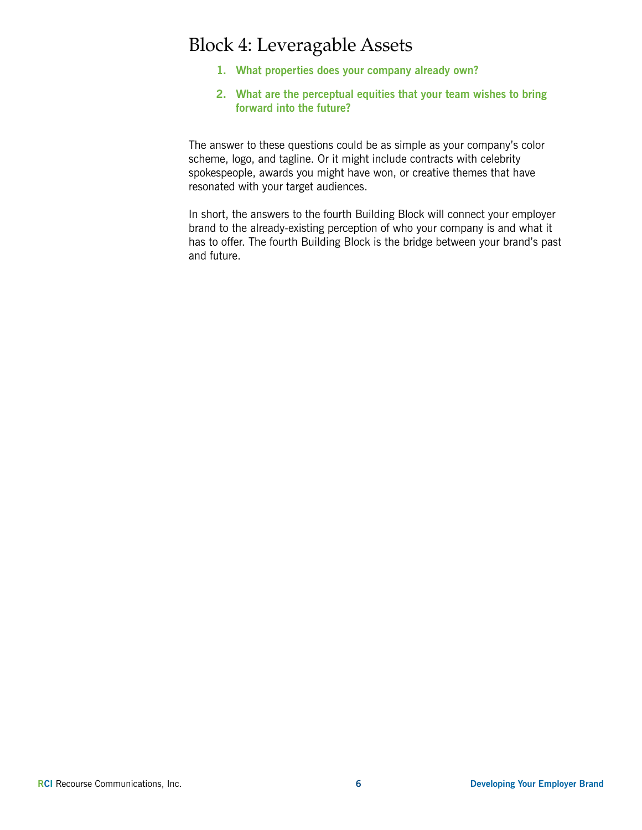## Block 4: Leveragable Assets

- **1. What properties does your company already own?**
- **2. What are the perceptual equities that your team wishes to bring forward into the future?**

The answer to these questions could be as simple as your company's color scheme, logo, and tagline. Or it might include contracts with celebrity spokespeople, awards you might have won, or creative themes that have resonated with your target audiences.

In short, the answers to the fourth Building Block will connect your employer brand to the already-existing perception of who your company is and what it has to offer. The fourth Building Block is the bridge between your brand's past and future.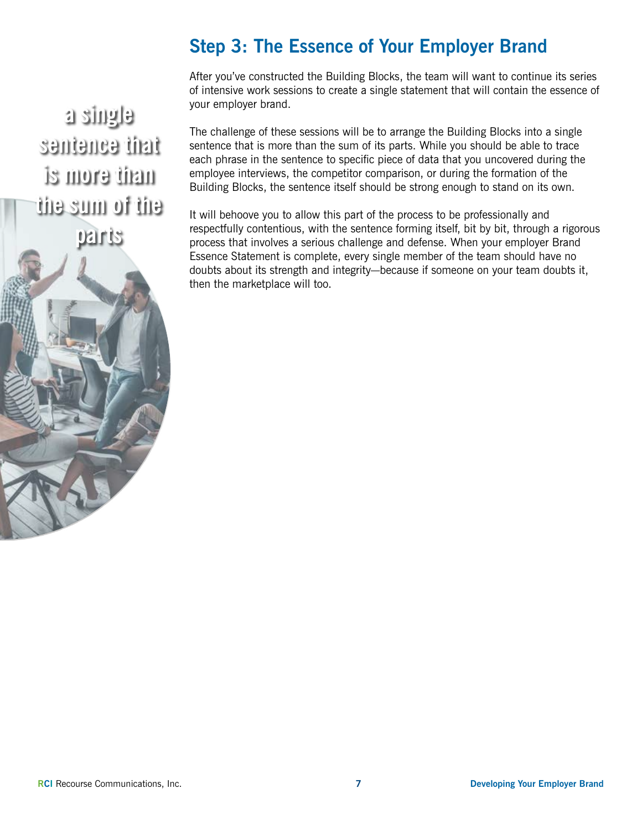## **Step 3: The Essence of Your Employer Brand**

After you've constructed the Building Blocks, the team will want to continue its series of intensive work sessions to create a single statement that will contain the essence of your employer brand.

**a single sentence that is more than the sum of the parts**



The challenge of these sessions will be to arrange the Building Blocks into a single sentence that is more than the sum of its parts. While you should be able to trace each phrase in the sentence to specific piece of data that you uncovered during the employee interviews, the competitor comparison, or during the formation of the Building Blocks, the sentence itself should be strong enough to stand on its own.

It will behoove you to allow this part of the process to be professionally and respectfully contentious, with the sentence forming itself, bit by bit, through a rigorous process that involves a serious challenge and defense. When your employer Brand Essence Statement is complete, every single member of the team should have no doubts about its strength and integrity—because if someone on your team doubts it, then the marketplace will too.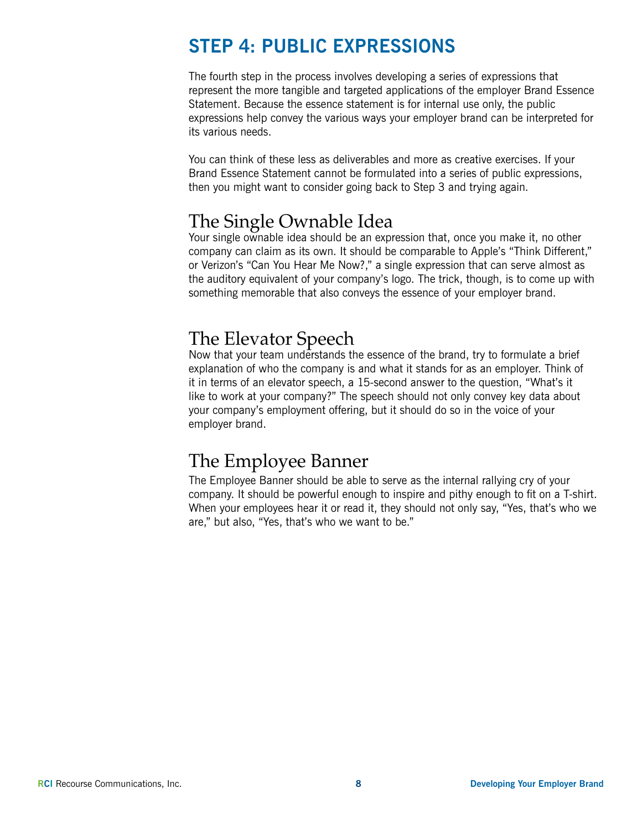#### **STEP 4: PUBLIC EXPRESSIONS**

The fourth step in the process involves developing a series of expressions that represent the more tangible and targeted applications of the employer Brand Essence Statement. Because the essence statement is for internal use only, the public expressions help convey the various ways your employer brand can be interpreted for its various needs.

You can think of these less as deliverables and more as creative exercises. If your Brand Essence Statement cannot be formulated into a series of public expressions, then you might want to consider going back to Step 3 and trying again.

#### The Single Ownable Idea

Your single ownable idea should be an expression that, once you make it, no other company can claim as its own. It should be comparable to Apple's "Think Different," or Verizon's "Can You Hear Me Now?," a single expression that can serve almost as the auditory equivalent of your company's logo. The trick, though, is to come up with something memorable that also conveys the essence of your employer brand.

#### The Elevator Speech

Now that your team understands the essence of the brand, try to formulate a brief explanation of who the company is and what it stands for as an employer. Think of it in terms of an elevator speech, a 15-second answer to the question, "What's it like to work at your company?" The speech should not only convey key data about your company's employment offering, but it should do so in the voice of your employer brand.

#### The Employee Banner

The Employee Banner should be able to serve as the internal rallying cry of your company. It should be powerful enough to inspire and pithy enough to fit on a T-shirt. When your employees hear it or read it, they should not only say, "Yes, that's who we are," but also, "Yes, that's who we want to be."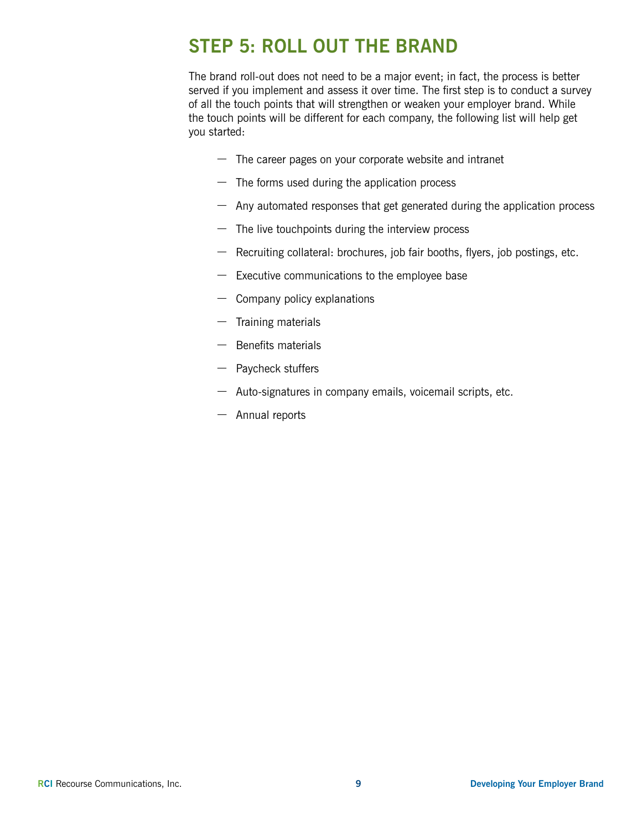### **STEP 5: ROLL OUT THE BRAND**

The brand roll-out does not need to be a major event; in fact, the process is better served if you implement and assess it over time. The first step is to conduct a survey of all the touch points that will strengthen or weaken your employer brand. While the touch points will be different for each company, the following list will help get you started:

- $-$  The career pages on your corporate website and intranet
- $-$  The forms used during the application process
- Any automated responses that get generated during the application process
- $-$  The live touchpoints during the interview process
- Recruiting collateral: brochures, job fair booths, flyers, job postings, etc.
- Executive communications to the employee base
- Company policy explanations
- Training materials
- $-$  Benefits materials
- Paycheck stuffers
- Auto-signatures in company emails, voicemail scripts, etc.
- Annual reports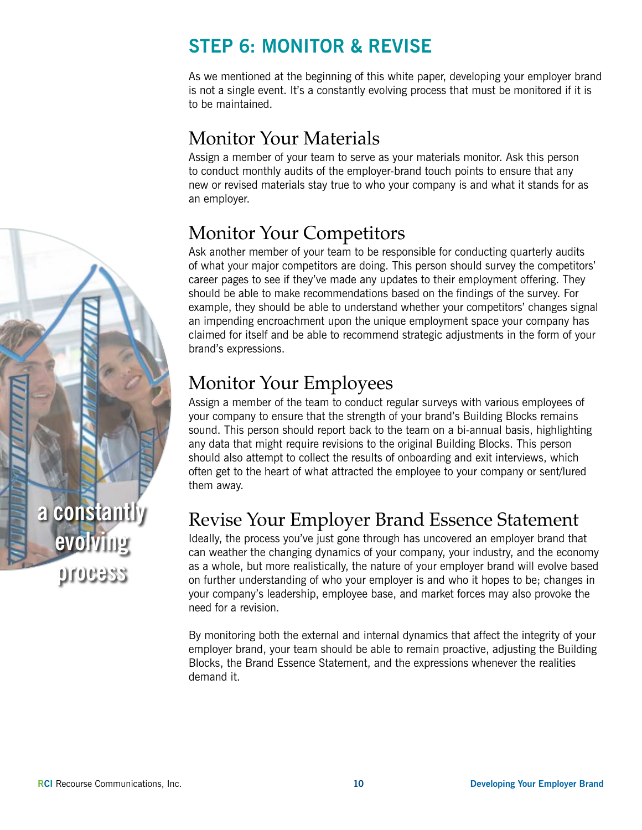## **STEP 6: MONITOR & REVISE**

As we mentioned at the beginning of this white paper, developing your employer brand is not a single event. It's a constantly evolving process that must be monitored if it is to be maintained.

## Monitor Your Materials

Assign a member of your team to serve as your materials monitor. Ask this person to conduct monthly audits of the employer-brand touch points to ensure that any new or revised materials stay true to who your company is and what it stands for as an employer.

## Monitor Your Competitors

Ask another member of your team to be responsible for conducting quarterly audits of what your major competitors are doing. This person should survey the competitors' career pages to see if they've made any updates to their employment offering. They should be able to make recommendations based on the findings of the survey. For example, they should be able to understand whether your competitors' changes signal an impending encroachment upon the unique employment space your company has claimed for itself and be able to recommend strategic adjustments in the form of your brand's expressions.

## Monitor Your Employees

Assign a member of the team to conduct regular surveys with various employees of your company to ensure that the strength of your brand's Building Blocks remains sound. This person should report back to the team on a bi-annual basis, highlighting any data that might require revisions to the original Building Blocks. This person should also attempt to collect the results of onboarding and exit interviews, which often get to the heart of what attracted the employee to your company or sent/lured them away.

#### Revise Your Employer Brand Essence Statement

Ideally, the process you've just gone through has uncovered an employer brand that can weather the changing dynamics of your company, your industry, and the economy as a whole, but more realistically, the nature of your employer brand will evolve based on further understanding of who your employer is and who it hopes to be; changes in your company's leadership, employee base, and market forces may also provoke the need for a revision.

By monitoring both the external and internal dynamics that affect the integrity of your employer brand, your team should be able to remain proactive, adjusting the Building Blocks, the Brand Essence Statement, and the expressions whenever the realities demand it.